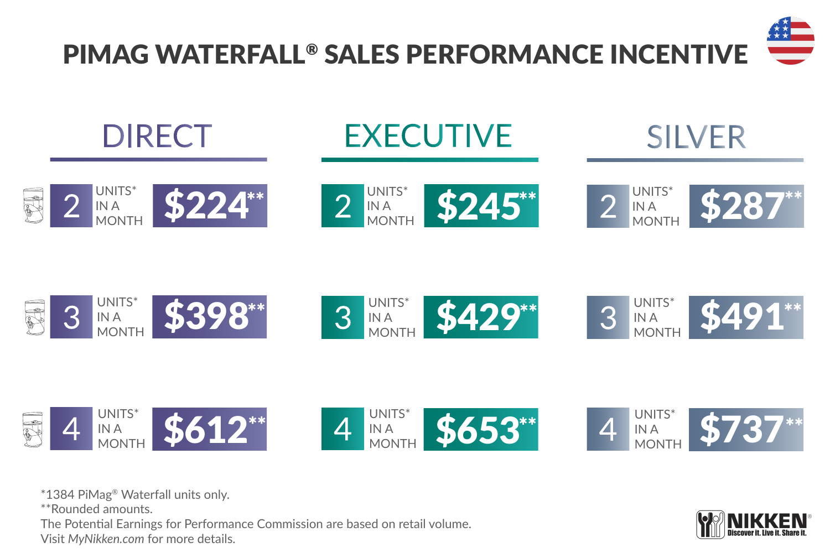



\*1384 PiMag® Waterfall units only.

\*\*Rounded amounts.

The Potential Earnings for Performance Commission are based on retail volume. Visit *MyNikken.com* for more details.